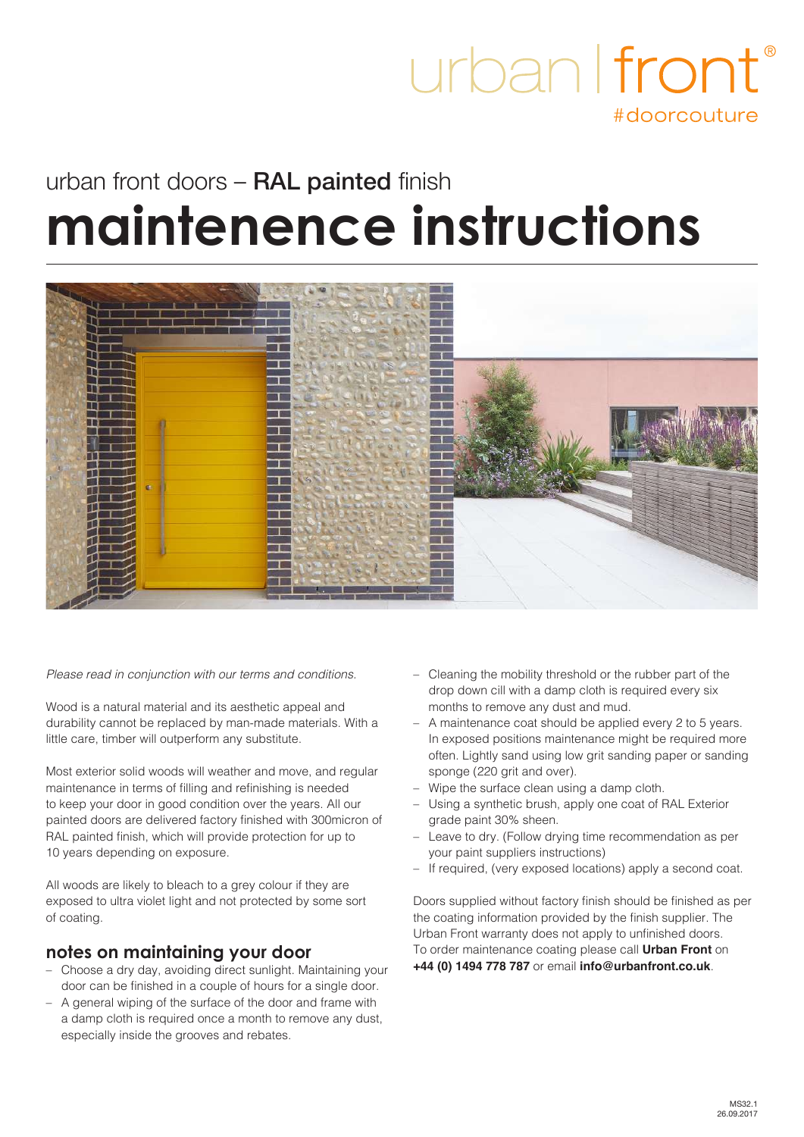## urban | front #doorcouture

# urban front doors - RAL painted finish **maintenence instructions**



*Please read in conjunction with our terms and conditions.*

Wood is a natural material and its aesthetic appeal and durability cannot be replaced by man-made materials. With a little care, timber will outperform any substitute.

Most exterior solid woods will weather and move, and regular maintenance in terms of filling and refinishing is needed to keep your door in good condition over the years. All our painted doors are delivered factory finished with 300micron of RAL painted finish, which will provide protection for up to 10 years depending on exposure.

All woods are likely to bleach to a grey colour if they are exposed to ultra violet light and not protected by some sort of coating.

#### **notes on maintaining your door**

- Choose a dry day, avoiding direct sunlight. Maintaining your door can be finished in a couple of hours for a single door.
- A general wiping of the surface of the door and frame with a damp cloth is required once a month to remove any dust. especially inside the grooves and rebates.
- Cleaning the mobility threshold or the rubber part of the drop down cill with a damp cloth is required every six months to remove any dust and mud.
- A maintenance coat should be applied every 2 to 5 years. In exposed positions maintenance might be required more often. Lightly sand using low grit sanding paper or sanding sponge (220 grit and over).
- Wipe the surface clean using a damp cloth.
- Using a synthetic brush, apply one coat of RAL Exterior grade paint 30% sheen.
- Leave to dry. (Follow drying time recommendation as per your paint suppliers instructions)
- If required, (very exposed locations) apply a second coat.

Doors supplied without factory finish should be finished as per the coating information provided by the finish supplier. The Urban Front warranty does not apply to unfinished doors. To order maintenance coating please call **Urban Front** on **+44 (0) 1494 778 787** or email **info@urbanfront.co.uk**.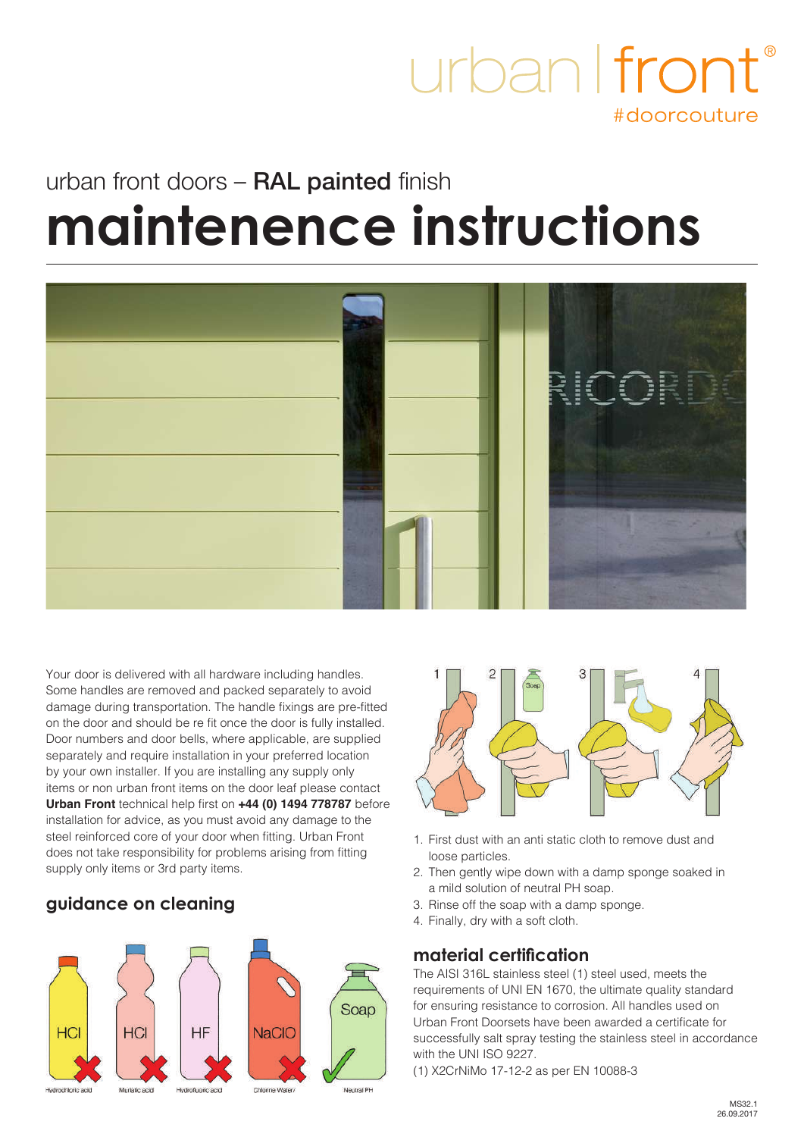## urban I front #doorcouture

# urban front doors - RAL painted finish **maintenence instructions**



Your door is delivered with all hardware including handles. Some handles are removed and packed separately to avoid damage during transportation. The handle fixings are pre-fitted on the door and should be re fit once the door is fully installed. Door numbers and door bells, where applicable, are supplied separately and require installation in your preferred location by your own installer. If you are installing any supply only items or non urban front items on the door leaf please contact **Urban Front** technical help first on **+44 (0) 1494 778787** before installation for advice, as you must avoid any damage to the steel reinforced core of your door when fitting. Urban Front does not take responsibility for problems arising from fitting supply only items or 3rd party items.

### **guidance on cleaning**





- 1. First dust with an anti static cloth to remove dust and loose particles.
- 2. Then gently wipe down with a damp sponge soaked in a mild solution of neutral PH soap.
- 3. Rinse off the soap with a damp sponge.
- 4. Finally, dry with a soft cloth.

#### **material certification**

The AISI 316L stainless steel (1) steel used, meets the requirements of UNI EN 1670, the ultimate quality standard for ensuring resistance to corrosion. All handles used on Urban Front Doorsets have been awarded a certificate for successfully salt spray testing the stainless steel in accordance with the UNI ISO 9227.

(1) X2CrNiMo 17-12-2 as per EN 10088-3